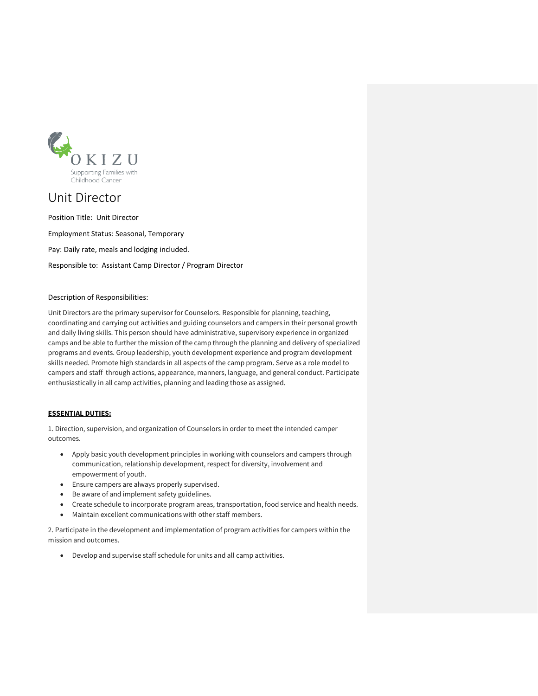

# Unit Director

Position Title: Unit Director

Employment Status: Seasonal, Temporary Pay: Daily rate, meals and lodging included. Responsible to: Assistant Camp Director / Program Director

## Description of Responsibilities:

Unit Directors are the primary supervisor for Counselors. Responsible for planning, teaching, coordinating and carrying out activities and guiding counselors and campers in their personal growth and daily living skills. This person should have administrative, supervisory experience in organized camps and be able to further the mission of the camp through the planning and delivery of specialized programs and events. Group leadership, youth development experience and program development skills needed. Promote high standards in all aspects of the camp program. Serve as a role model to campers and staff through actions, appearance, manners, language, and general conduct. Participate enthusiastically in all camp activities, planning and leading those as assigned.

## **ESSENTIAL DUTIES:**

1. Direction, supervision, and organization of Counselors in order to meet the intended camper outcomes.

- Apply basic youth development principles in working with counselors and campers through communication, relationship development, respect for diversity, involvement and empowerment of youth.
- Ensure campers are always properly supervised.
- Be aware of and implement safety guidelines.
- Create schedule to incorporate program areas, transportation, food service and health needs.
- Maintain excellent communications with other staff members.

2. Participate in the development and implementation of program activities for campers within the mission and outcomes.

• Develop and supervise staff schedule for units and all camp activities.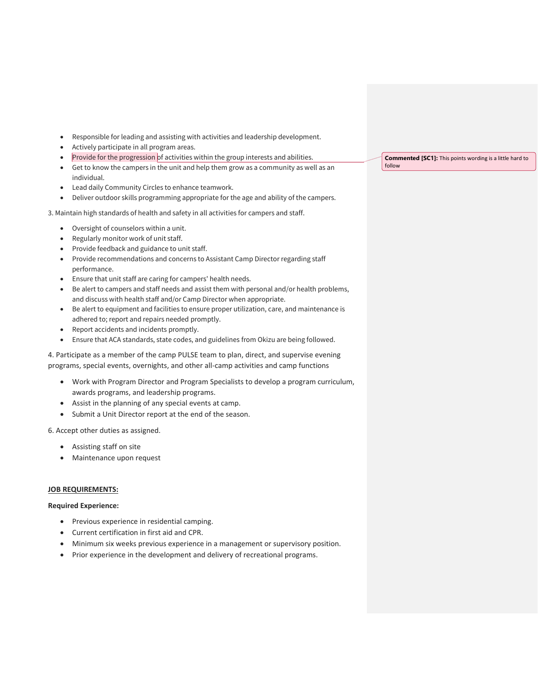- Responsible for leading and assisting with activities and leadership development.
- Actively participate in all program areas.
- Provide for the progression of activities within the group interests and abilities.
- Get to know the campers in the unit and help them grow as a community as well as an individual.
- Lead daily Community Circles to enhance teamwork.
- Deliver outdoor skills programming appropriate for the age and ability of the campers.

3. Maintain high standards of health and safety in all activities for campers and staff.

- Oversight of counselors within a unit.
- Regularly monitor work of unit staff.
- Provide feedback and guidance to unit staff.
- Provide recommendations and concerns to Assistant Camp Director regarding staff performance.
- Ensure that unit staff are caring for campers' health needs.
- Be alert to campers and staff needs and assist them with personal and/or health problems, and discuss with health staff and/or Camp Director when appropriate.
- Be alert to equipment and facilities to ensure proper utilization, care, and maintenance is adhered to; report and repairs needed promptly.
- Report accidents and incidents promptly.
- Ensure that ACA standards, state codes, and guidelines from Okizu are being followed.

4. Participate as a member of the camp PULSE team to plan, direct, and supervise evening programs, special events, overnights, and other all-camp activities and camp functions

- Work with Program Director and Program Specialists to develop a program curriculum, awards programs, and leadership programs.
- Assist in the planning of any special events at camp.
- Submit a Unit Director report at the end of the season.

6. Accept other duties as assigned.

- Assisting staff on site
- Maintenance upon request

## **JOB REQUIREMENTS:**

#### **Required Experience:**

- Previous experience in residential camping.
- Current certification in first aid and CPR.
- Minimum six weeks previous experience in a management or supervisory position.
- Prior experience in the development and delivery of recreational programs.

**Commented [SC1]:** This points wording is a little hard to follow